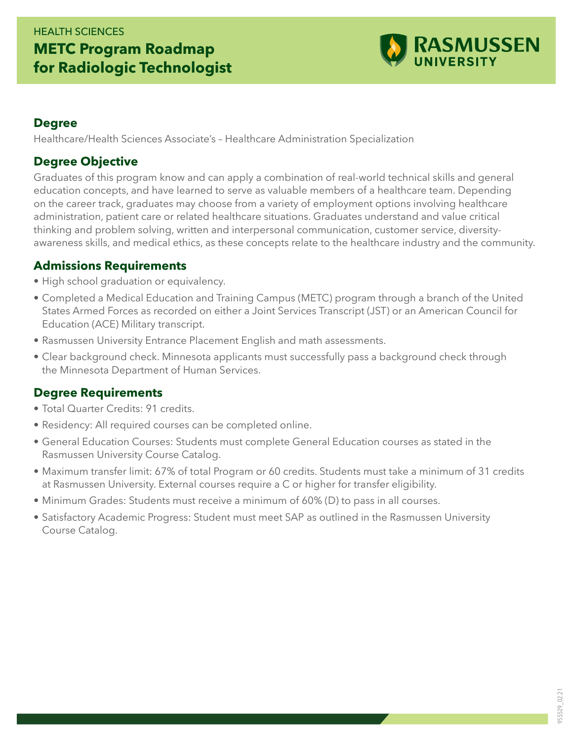## HEALTH SCIENCES **METC Program Roadmap for Radiologic Technologist**



#### **Degree**

Healthcare/Health Sciences Associate's – Healthcare Administration Specialization

#### **Degree Objective**

Graduates of this program know and can apply a combination of real-world technical skills and general education concepts, and have learned to serve as valuable members of a healthcare team. Depending on the career track, graduates may choose from a variety of employment options involving healthcare administration, patient care or related healthcare situations. Graduates understand and value critical thinking and problem solving, written and interpersonal communication, customer service, diversityawareness skills, and medical ethics, as these concepts relate to the healthcare industry and the community.

#### **Admissions Requirements**

- High school graduation or equivalency.
- Completed a Medical Education and Training Campus (METC) program through a branch of the United States Armed Forces as recorded on either a Joint Services Transcript (JST) or an American Council for Education (ACE) Military transcript.
- Rasmussen University Entrance Placement English and math assessments.
- Clear background check. Minnesota applicants must successfully pass a background check through the Minnesota Department of Human Services.

### **Degree Requirements**

- Total Quarter Credits: 91 credits.
- Residency: All required courses can be completed online.
- General Education Courses: Students must complete General Education courses as stated in the Rasmussen University Course Catalog.
- Maximum transfer limit: 67% of total Program or 60 credits. Students must take a minimum of 31 credits at Rasmussen University. External courses require a C or higher for transfer eligibility.
- Minimum Grades: Students must receive a minimum of 60% (D) to pass in all courses.
- Satisfactory Academic Progress: Student must meet SAP as outlined in the Rasmussen University Course Catalog.